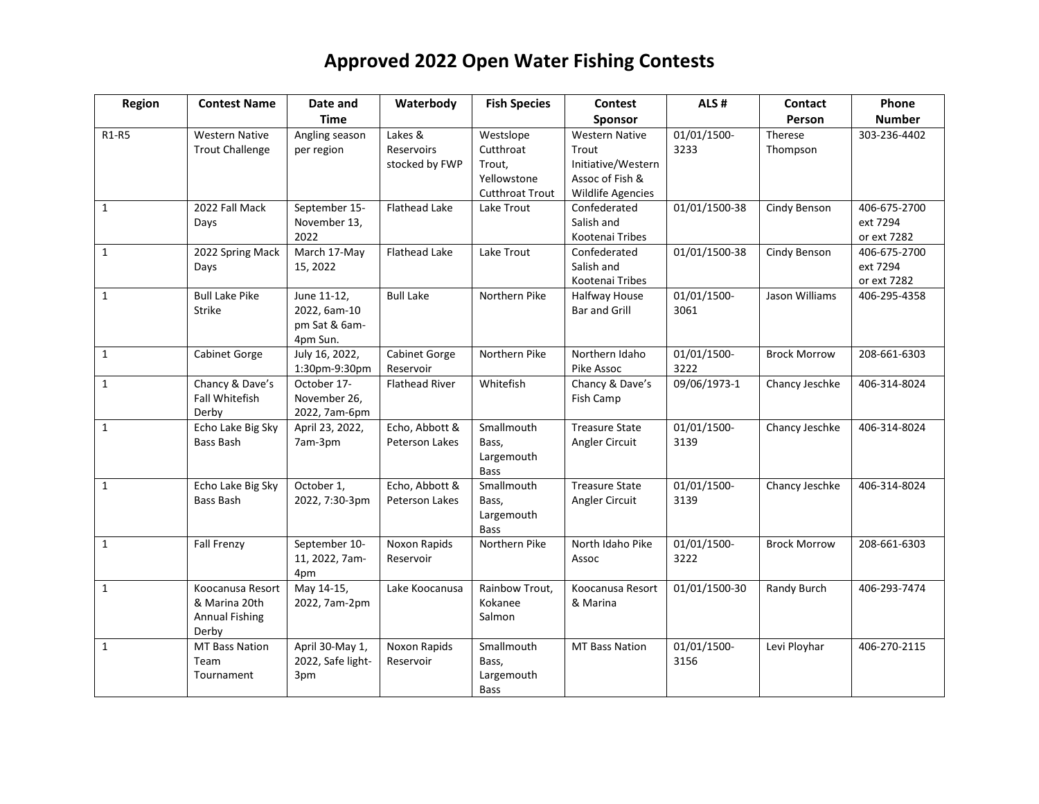| Region                         | <b>Contest Name</b>                                                 | Date and                                                 | Waterbody                               | <b>Fish Species</b>                                                       | Contest                                                                                      | ALS#                | Contact             | Phone                                   |
|--------------------------------|---------------------------------------------------------------------|----------------------------------------------------------|-----------------------------------------|---------------------------------------------------------------------------|----------------------------------------------------------------------------------------------|---------------------|---------------------|-----------------------------------------|
|                                |                                                                     | <b>Time</b>                                              |                                         |                                                                           | Sponsor                                                                                      |                     | Person              | <b>Number</b>                           |
| R <sub>1</sub> -R <sub>5</sub> | <b>Western Native</b><br><b>Trout Challenge</b>                     | Angling season<br>per region                             | Lakes &<br>Reservoirs<br>stocked by FWP | Westslope<br>Cutthroat<br>Trout,<br>Yellowstone<br><b>Cutthroat Trout</b> | <b>Western Native</b><br>Trout<br>Initiative/Western<br>Assoc of Fish &<br>Wildlife Agencies | 01/01/1500-<br>3233 | Therese<br>Thompson | 303-236-4402                            |
| $\mathbf{1}$                   | 2022 Fall Mack<br>Days                                              | September 15-<br>November 13,<br>2022                    | <b>Flathead Lake</b>                    | Lake Trout                                                                | Confederated<br>Salish and<br>Kootenai Tribes                                                | 01/01/1500-38       | Cindy Benson        | 406-675-2700<br>ext 7294<br>or ext 7282 |
| $\mathbf{1}$                   | 2022 Spring Mack<br>Days                                            | March 17-May<br>15, 2022                                 | <b>Flathead Lake</b>                    | Lake Trout                                                                | Confederated<br>Salish and<br>Kootenai Tribes                                                | 01/01/1500-38       | Cindy Benson        | 406-675-2700<br>ext 7294<br>or ext 7282 |
| $\mathbf{1}$                   | <b>Bull Lake Pike</b><br><b>Strike</b>                              | June 11-12,<br>2022, 6am-10<br>pm Sat & 6am-<br>4pm Sun. | <b>Bull Lake</b>                        | Northern Pike                                                             | Halfway House<br><b>Bar and Grill</b>                                                        | 01/01/1500-<br>3061 | Jason Williams      | 406-295-4358                            |
| $\mathbf{1}$                   | Cabinet Gorge                                                       | July 16, 2022,<br>1:30pm-9:30pm                          | Cabinet Gorge<br>Reservoir              | Northern Pike                                                             | Northern Idaho<br>Pike Assoc                                                                 | 01/01/1500-<br>3222 | <b>Brock Morrow</b> | 208-661-6303                            |
| $\mathbf{1}$                   | Chancy & Dave's<br>Fall Whitefish<br>Derby                          | October 17-<br>November 26,<br>2022, 7am-6pm             | <b>Flathead River</b>                   | Whitefish                                                                 | Chancy & Dave's<br>Fish Camp                                                                 | 09/06/1973-1        | Chancy Jeschke      | 406-314-8024                            |
| $\mathbf{1}$                   | Echo Lake Big Sky<br>Bass Bash                                      | April 23, 2022,<br>7am-3pm                               | Echo, Abbott &<br>Peterson Lakes        | Smallmouth<br>Bass.<br>Largemouth<br><b>Bass</b>                          | <b>Treasure State</b><br>Angler Circuit                                                      | 01/01/1500-<br>3139 | Chancy Jeschke      | 406-314-8024                            |
| $\mathbf{1}$                   | Echo Lake Big Sky<br>Bass Bash                                      | October 1,<br>2022, 7:30-3pm                             | Echo, Abbott &<br>Peterson Lakes        | Smallmouth<br>Bass,<br>Largemouth<br>Bass                                 | <b>Treasure State</b><br>Angler Circuit                                                      | 01/01/1500-<br>3139 | Chancy Jeschke      | 406-314-8024                            |
| $\mathbf{1}$                   | <b>Fall Frenzy</b>                                                  | September 10-<br>11, 2022, 7am-<br>4pm                   | Noxon Rapids<br>Reservoir               | Northern Pike                                                             | North Idaho Pike<br>Assoc                                                                    | 01/01/1500-<br>3222 | <b>Brock Morrow</b> | 208-661-6303                            |
| $\mathbf{1}$                   | Koocanusa Resort<br>& Marina 20th<br><b>Annual Fishing</b><br>Derby | May 14-15,<br>2022, 7am-2pm                              | Lake Koocanusa                          | Rainbow Trout,<br>Kokanee<br>Salmon                                       | Koocanusa Resort<br>& Marina                                                                 | 01/01/1500-30       | Randy Burch         | 406-293-7474                            |
| $\mathbf{1}$                   | MT Bass Nation<br>Team<br>Tournament                                | April 30-May 1,<br>2022, Safe light-<br>3pm              | Noxon Rapids<br>Reservoir               | Smallmouth<br>Bass,<br>Largemouth<br><b>Bass</b>                          | <b>MT Bass Nation</b>                                                                        | 01/01/1500-<br>3156 | Levi Ployhar        | 406-270-2115                            |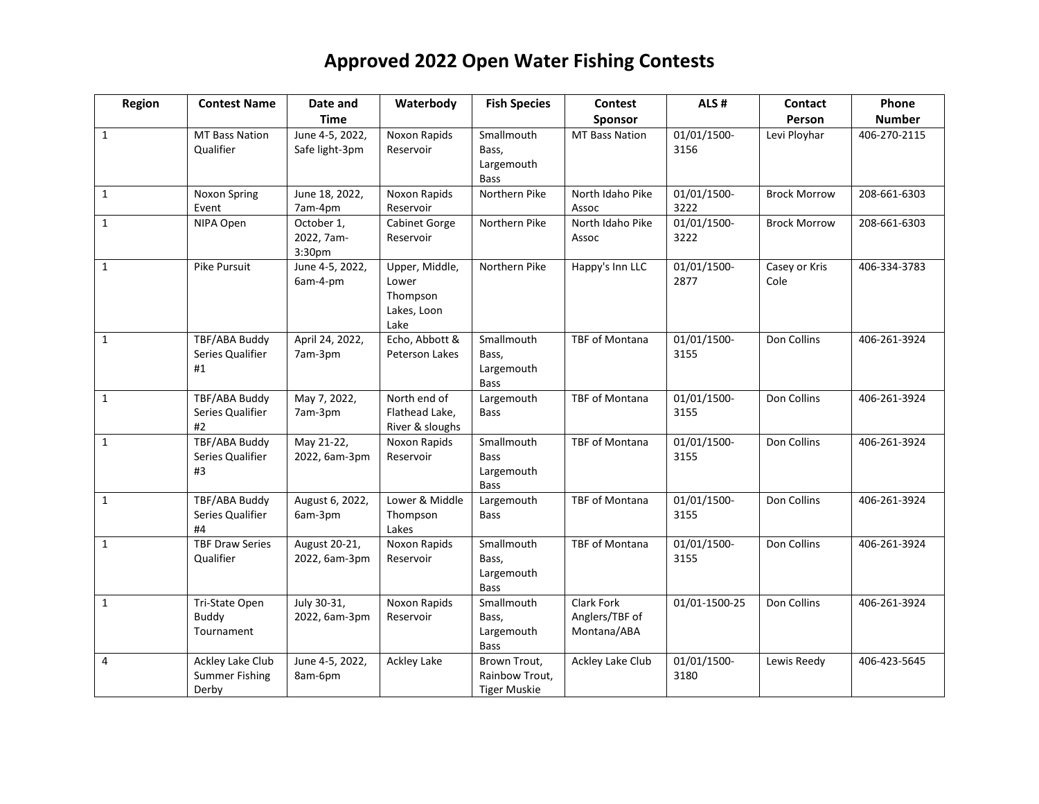| Region       | <b>Contest Name</b>                                | Date and                           | Waterbody                                                  | <b>Fish Species</b>                                    | <b>Contest</b>                              | ALS#                | Contact               | Phone         |
|--------------|----------------------------------------------------|------------------------------------|------------------------------------------------------------|--------------------------------------------------------|---------------------------------------------|---------------------|-----------------------|---------------|
|              |                                                    | <b>Time</b>                        |                                                            |                                                        | <b>Sponsor</b>                              |                     | Person                | <b>Number</b> |
| $\mathbf{1}$ | <b>MT Bass Nation</b><br>Qualifier                 | June 4-5, 2022,<br>Safe light-3pm  | Noxon Rapids<br>Reservoir                                  | Smallmouth<br>Bass,<br>Largemouth<br><b>Bass</b>       | <b>MT Bass Nation</b>                       | 01/01/1500-<br>3156 | Levi Ployhar          | 406-270-2115  |
| $\mathbf{1}$ | Noxon Spring<br>Event                              | June 18, 2022,<br>7am-4pm          | Noxon Rapids<br>Reservoir                                  | Northern Pike                                          | North Idaho Pike<br>Assoc                   | 01/01/1500-<br>3222 | <b>Brock Morrow</b>   | 208-661-6303  |
| $\mathbf{1}$ | NIPA Open                                          | October 1,<br>2022, 7am-<br>3:30pm | Cabinet Gorge<br>Reservoir                                 | Northern Pike                                          | North Idaho Pike<br>Assoc                   | 01/01/1500-<br>3222 | <b>Brock Morrow</b>   | 208-661-6303  |
| $\mathbf{1}$ | Pike Pursuit                                       | June 4-5, 2022,<br>6am-4-pm        | Upper, Middle,<br>Lower<br>Thompson<br>Lakes, Loon<br>Lake | Northern Pike                                          | Happy's Inn LLC                             | 01/01/1500-<br>2877 | Casey or Kris<br>Cole | 406-334-3783  |
| $\mathbf{1}$ | TBF/ABA Buddy<br>Series Qualifier<br>#1            | April 24, 2022,<br>7am-3pm         | Echo, Abbott &<br>Peterson Lakes                           | Smallmouth<br>Bass,<br>Largemouth<br><b>Bass</b>       | TBF of Montana                              | 01/01/1500-<br>3155 | Don Collins           | 406-261-3924  |
| $\mathbf{1}$ | TBF/ABA Buddy<br>Series Qualifier<br>#2            | May 7, 2022,<br>7am-3pm            | North end of<br>Flathead Lake,<br>River & sloughs          | Largemouth<br>Bass                                     | TBF of Montana                              | 01/01/1500-<br>3155 | Don Collins           | 406-261-3924  |
| $\mathbf{1}$ | TBF/ABA Buddy<br>Series Qualifier<br>#3            | May 21-22,<br>2022, 6am-3pm        | Noxon Rapids<br>Reservoir                                  | Smallmouth<br><b>Bass</b><br>Largemouth<br><b>Bass</b> | TBF of Montana                              | 01/01/1500-<br>3155 | Don Collins           | 406-261-3924  |
| $\mathbf{1}$ | TBF/ABA Buddy<br>Series Qualifier<br>#4            | August 6, 2022,<br>6am-3pm         | Lower & Middle<br>Thompson<br>Lakes                        | Largemouth<br><b>Bass</b>                              | <b>TBF of Montana</b>                       | 01/01/1500-<br>3155 | Don Collins           | 406-261-3924  |
| $\mathbf{1}$ | <b>TBF Draw Series</b><br>Qualifier                | August 20-21,<br>2022, 6am-3pm     | Noxon Rapids<br>Reservoir                                  | Smallmouth<br>Bass.<br>Largemouth<br><b>Bass</b>       | TBF of Montana                              | 01/01/1500-<br>3155 | Don Collins           | 406-261-3924  |
| $\mathbf{1}$ | Tri-State Open<br><b>Buddy</b><br>Tournament       | July 30-31,<br>2022, 6am-3pm       | Noxon Rapids<br>Reservoir                                  | Smallmouth<br>Bass.<br>Largemouth<br><b>Bass</b>       | Clark Fork<br>Anglers/TBF of<br>Montana/ABA | 01/01-1500-25       | Don Collins           | 406-261-3924  |
| 4            | Ackley Lake Club<br><b>Summer Fishing</b><br>Derby | June 4-5, 2022,<br>8am-6pm         | <b>Ackley Lake</b>                                         | Brown Trout,<br>Rainbow Trout,<br><b>Tiger Muskie</b>  | Ackley Lake Club                            | 01/01/1500-<br>3180 | Lewis Reedy           | 406-423-5645  |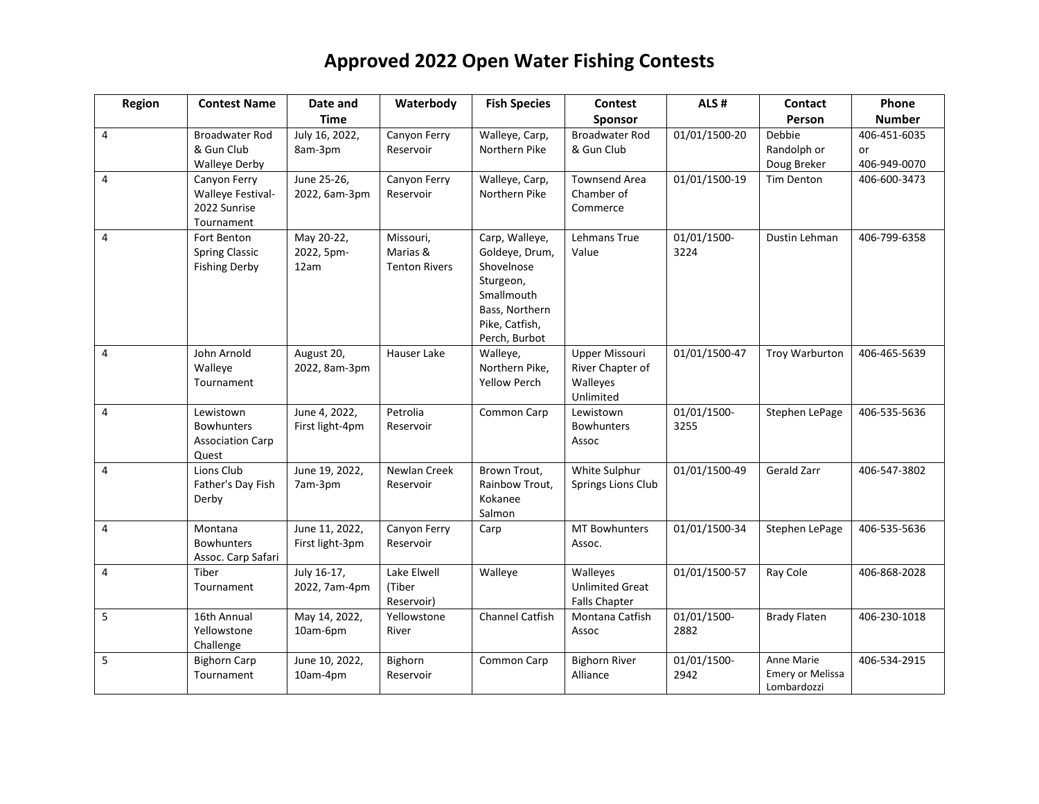| Region         | <b>Contest Name</b>                                                | Date and                          | Waterbody                                     | <b>Fish Species</b>                                                                                                            | <b>Contest</b>                                              | ALS#                | Contact                                              | Phone                              |
|----------------|--------------------------------------------------------------------|-----------------------------------|-----------------------------------------------|--------------------------------------------------------------------------------------------------------------------------------|-------------------------------------------------------------|---------------------|------------------------------------------------------|------------------------------------|
|                |                                                                    | <b>Time</b>                       |                                               |                                                                                                                                | Sponsor                                                     |                     | Person                                               | <b>Number</b>                      |
| $\overline{4}$ | <b>Broadwater Rod</b><br>& Gun Club<br><b>Walleye Derby</b>        | July 16, 2022,<br>8am-3pm         | Canyon Ferry<br>Reservoir                     | Walleye, Carp,<br>Northern Pike                                                                                                | <b>Broadwater Rod</b><br>& Gun Club                         | 01/01/1500-20       | Debbie<br>Randolph or<br>Doug Breker                 | 406-451-6035<br>or<br>406-949-0070 |
| $\overline{4}$ | Canyon Ferry<br>Walleye Festival-<br>2022 Sunrise<br>Tournament    | June 25-26,<br>2022, 6am-3pm      | Canyon Ferry<br>Reservoir                     | Walleye, Carp,<br>Northern Pike                                                                                                | <b>Townsend Area</b><br>Chamber of<br>Commerce              | 01/01/1500-19       | Tim Denton                                           | 406-600-3473                       |
| $\overline{4}$ | Fort Benton<br><b>Spring Classic</b><br><b>Fishing Derby</b>       | May 20-22,<br>2022, 5pm-<br>12am  | Missouri,<br>Marias &<br><b>Tenton Rivers</b> | Carp, Walleye,<br>Goldeye, Drum,<br>Shovelnose<br>Sturgeon,<br>Smallmouth<br>Bass, Northern<br>Pike, Catfish,<br>Perch, Burbot | Lehmans True<br>Value                                       | 01/01/1500-<br>3224 | Dustin Lehman                                        | 406-799-6358                       |
| 4              | John Arnold<br>Walleye<br>Tournament                               | August 20,<br>2022, 8am-3pm       | Hauser Lake                                   | Walleye,<br>Northern Pike,<br><b>Yellow Perch</b>                                                                              | Upper Missouri<br>River Chapter of<br>Walleyes<br>Unlimited | 01/01/1500-47       | Troy Warburton                                       | 406-465-5639                       |
| $\overline{4}$ | Lewistown<br><b>Bowhunters</b><br><b>Association Carp</b><br>Quest | June 4, 2022,<br>First light-4pm  | Petrolia<br>Reservoir                         | Common Carp                                                                                                                    | Lewistown<br><b>Bowhunters</b><br>Assoc                     | 01/01/1500-<br>3255 | Stephen LePage                                       | 406-535-5636                       |
| $\overline{4}$ | Lions Club<br>Father's Day Fish<br>Derby                           | June 19, 2022,<br>7am-3pm         | Newlan Creek<br>Reservoir                     | Brown Trout,<br>Rainbow Trout,<br>Kokanee<br>Salmon                                                                            | White Sulphur<br>Springs Lions Club                         | 01/01/1500-49       | Gerald Zarr                                          | 406-547-3802                       |
| 4              | Montana<br><b>Bowhunters</b><br>Assoc. Carp Safari                 | June 11, 2022,<br>First light-3pm | Canyon Ferry<br>Reservoir                     | Carp                                                                                                                           | <b>MT Bowhunters</b><br>Assoc.                              | 01/01/1500-34       | Stephen LePage                                       | 406-535-5636                       |
| $\overline{4}$ | Tiber<br>Tournament                                                | July 16-17,<br>2022, 7am-4pm      | Lake Elwell<br>(Tiber<br>Reservoir)           | Walleye                                                                                                                        | Walleyes<br><b>Unlimited Great</b><br><b>Falls Chapter</b>  | 01/01/1500-57       | Ray Cole                                             | 406-868-2028                       |
| 5              | 16th Annual<br>Yellowstone<br>Challenge                            | May 14, 2022,<br>10am-6pm         | Yellowstone<br>River                          | Channel Catfish                                                                                                                | Montana Catfish<br>Assoc                                    | 01/01/1500-<br>2882 | <b>Brady Flaten</b>                                  | 406-230-1018                       |
| 5              | <b>Bighorn Carp</b><br>Tournament                                  | June 10, 2022,<br>10am-4pm        | Bighorn<br>Reservoir                          | Common Carp                                                                                                                    | <b>Bighorn River</b><br>Alliance                            | 01/01/1500-<br>2942 | Anne Marie<br><b>Emery or Melissa</b><br>Lombardozzi | 406-534-2915                       |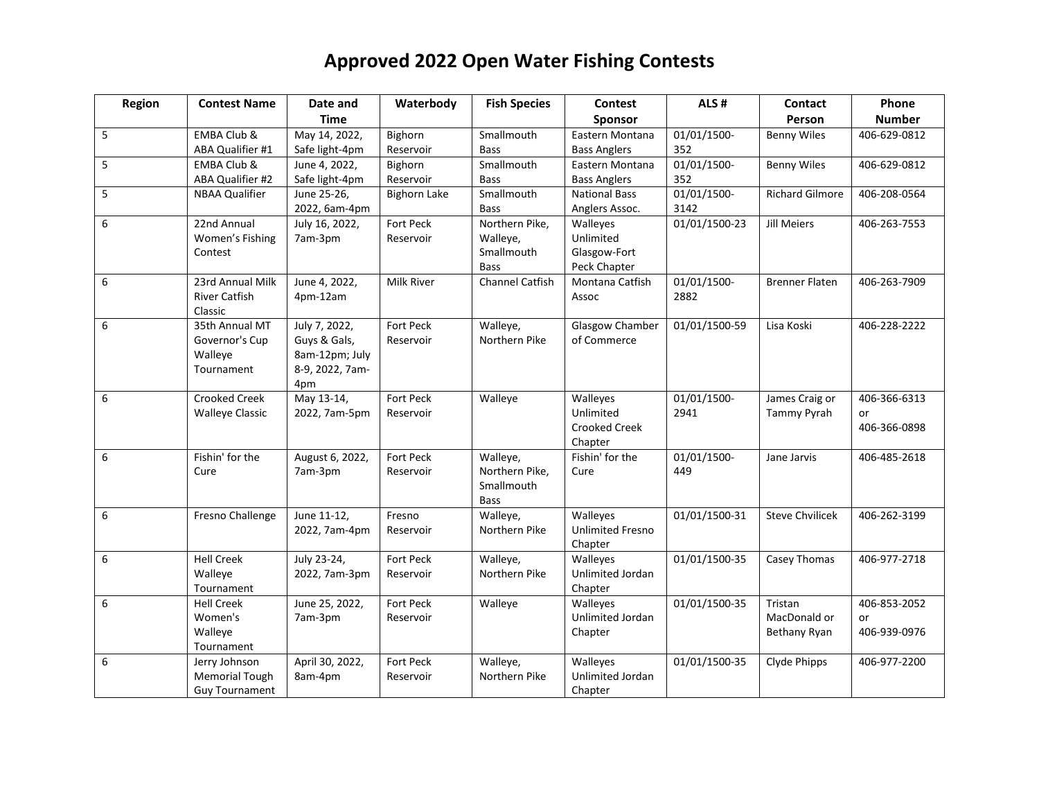| Region | <b>Contest Name</b>    | Date and                          | Waterbody           | <b>Fish Species</b>    | <b>Contest</b>                 | ALS#          | Contact                | Phone         |
|--------|------------------------|-----------------------------------|---------------------|------------------------|--------------------------------|---------------|------------------------|---------------|
|        |                        | <b>Time</b>                       |                     |                        | <b>Sponsor</b>                 |               | Person                 | <b>Number</b> |
| 5      | EMBA Club &            | May 14, 2022,                     | Bighorn             | Smallmouth             | Eastern Montana                | 01/01/1500-   | <b>Benny Wiles</b>     | 406-629-0812  |
|        | ABA Qualifier #1       | Safe light-4pm                    | Reservoir           | <b>Bass</b>            | <b>Bass Anglers</b>            | 352           |                        |               |
| 5      | EMBA Club &            | June 4, 2022,                     | Bighorn             | Smallmouth             | Eastern Montana                | 01/01/1500-   | <b>Benny Wiles</b>     | 406-629-0812  |
|        | ABA Qualifier #2       | Safe light-4pm                    | Reservoir           | <b>Bass</b>            | <b>Bass Anglers</b>            | 352           |                        |               |
| 5      | <b>NBAA Qualifier</b>  | June 25-26,                       | <b>Bighorn Lake</b> | Smallmouth             | <b>National Bass</b>           | 01/01/1500-   | <b>Richard Gilmore</b> | 406-208-0564  |
|        |                        | 2022, 6am-4pm                     |                     | <b>Bass</b>            | Anglers Assoc.                 | 3142          |                        |               |
| 6      | 22nd Annual            | July 16, 2022,                    | Fort Peck           | Northern Pike,         | Walleyes                       | 01/01/1500-23 | <b>Jill Meiers</b>     | 406-263-7553  |
|        | Women's Fishing        | 7am-3pm                           | Reservoir           | Walleye,               | Unlimited                      |               |                        |               |
|        | Contest                |                                   |                     | Smallmouth             | Glasgow-Fort                   |               |                        |               |
|        |                        |                                   |                     | <b>Bass</b>            | Peck Chapter                   |               |                        |               |
| 6      | 23rd Annual Milk       | June 4, 2022,                     | Milk River          | <b>Channel Catfish</b> | Montana Catfish                | 01/01/1500-   | <b>Brenner Flaten</b>  | 406-263-7909  |
|        | <b>River Catfish</b>   | 4pm-12am                          |                     |                        | Assoc                          | 2882          |                        |               |
|        | Classic                |                                   |                     |                        |                                |               |                        |               |
| 6      | 35th Annual MT         | July 7, 2022,                     | Fort Peck           | Walleye,               | Glasgow Chamber<br>of Commerce | 01/01/1500-59 | Lisa Koski             | 406-228-2222  |
|        | Governor's Cup         | Guys & Gals,                      | Reservoir           | Northern Pike          |                                |               |                        |               |
|        | Walleye<br>Tournament  | 8am-12pm; July<br>8-9, 2022, 7am- |                     |                        |                                |               |                        |               |
|        |                        | 4pm                               |                     |                        |                                |               |                        |               |
| 6      | <b>Crooked Creek</b>   | May 13-14,                        | Fort Peck           | Walleye                | Walleyes                       | 01/01/1500-   | James Craig or         | 406-366-6313  |
|        | <b>Walleye Classic</b> | 2022, 7am-5pm                     | Reservoir           |                        | Unlimited                      | 2941          | Tammy Pyrah            | or            |
|        |                        |                                   |                     |                        | Crooked Creek                  |               |                        | 406-366-0898  |
|        |                        |                                   |                     |                        | Chapter                        |               |                        |               |
| 6      | Fishin' for the        | August 6, 2022,                   | Fort Peck           | Walleye,               | Fishin' for the                | 01/01/1500-   | Jane Jarvis            | 406-485-2618  |
|        | Cure                   | 7am-3pm                           | Reservoir           | Northern Pike,         | Cure                           | 449           |                        |               |
|        |                        |                                   |                     | Smallmouth             |                                |               |                        |               |
|        |                        |                                   |                     | Bass                   |                                |               |                        |               |
| 6      | Fresno Challenge       | June 11-12,                       | Fresno              | Walleye,               | Walleyes                       | 01/01/1500-31 | <b>Steve Chvilicek</b> | 406-262-3199  |
|        |                        | 2022, 7am-4pm                     | Reservoir           | Northern Pike          | <b>Unlimited Fresno</b>        |               |                        |               |
|        |                        |                                   |                     |                        | Chapter                        |               |                        |               |
| 6      | <b>Hell Creek</b>      | July 23-24,                       | Fort Peck           | Walleye,               | Walleyes                       | 01/01/1500-35 | Casey Thomas           | 406-977-2718  |
|        | Walleye                | 2022, 7am-3pm                     | Reservoir           | Northern Pike          | Unlimited Jordan               |               |                        |               |
|        | Tournament             |                                   |                     |                        | Chapter                        |               |                        |               |
| 6      | <b>Hell Creek</b>      | June 25, 2022,                    | Fort Peck           | Walleye                | Walleyes                       | 01/01/1500-35 | Tristan                | 406-853-2052  |
|        | Women's                | 7am-3pm                           | Reservoir           |                        | Unlimited Jordan               |               | MacDonald or           | or            |
|        | Walleye                |                                   |                     |                        | Chapter                        |               | Bethany Ryan           | 406-939-0976  |
|        | Tournament             |                                   |                     |                        |                                |               |                        |               |
| 6      | Jerry Johnson          | April 30, 2022,                   | Fort Peck           | Walleye,               | Walleyes                       | 01/01/1500-35 | Clyde Phipps           | 406-977-2200  |
|        | <b>Memorial Tough</b>  | 8am-4pm                           | Reservoir           | Northern Pike          | Unlimited Jordan               |               |                        |               |
|        | <b>Guy Tournament</b>  |                                   |                     |                        | Chapter                        |               |                        |               |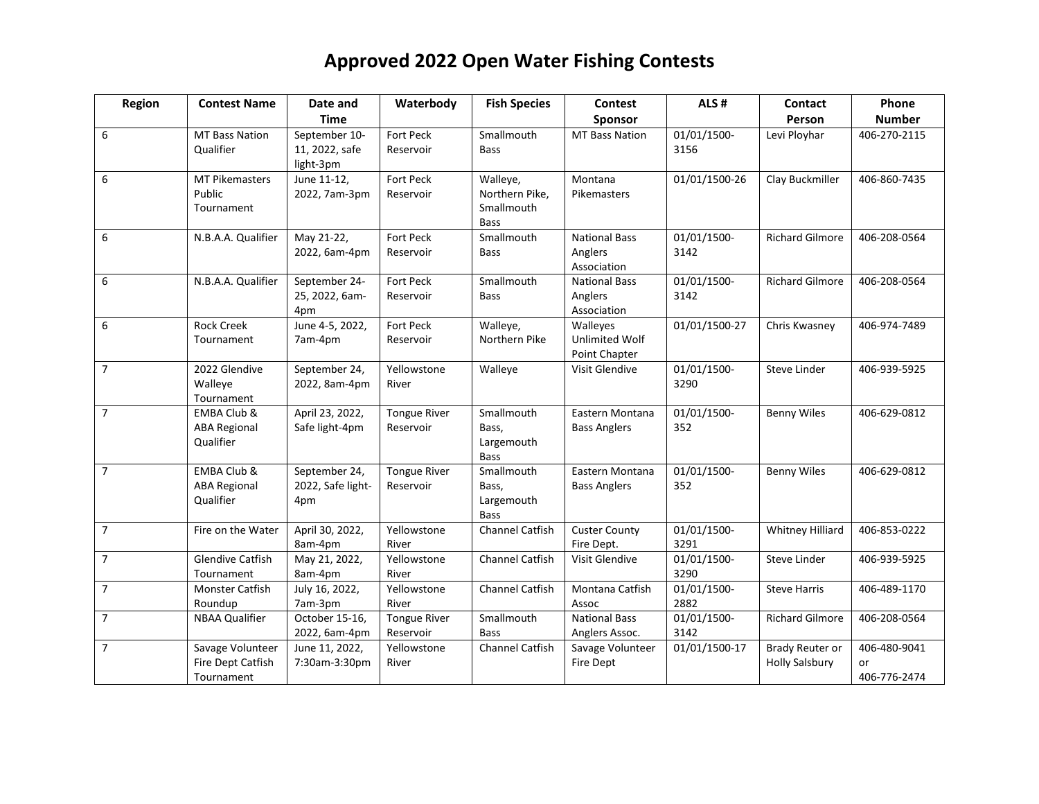| Region         | <b>Contest Name</b>                                        | Date and                                     | Waterbody                        | <b>Fish Species</b>                                     | <b>Contest</b>                                     | ALS#                | Contact                                  | Phone                              |
|----------------|------------------------------------------------------------|----------------------------------------------|----------------------------------|---------------------------------------------------------|----------------------------------------------------|---------------------|------------------------------------------|------------------------------------|
|                |                                                            | <b>Time</b>                                  |                                  |                                                         | Sponsor                                            |                     | Person                                   | <b>Number</b>                      |
| 6              | <b>MT Bass Nation</b><br>Qualifier                         | September 10-<br>11, 2022, safe<br>light-3pm | Fort Peck<br>Reservoir           | Smallmouth<br><b>Bass</b>                               | <b>MT Bass Nation</b>                              | 01/01/1500-<br>3156 | Levi Ployhar                             | 406-270-2115                       |
| 6              | <b>MT Pikemasters</b><br>Public<br>Tournament              | June 11-12,<br>2022, 7am-3pm                 | Fort Peck<br>Reservoir           | Walleye,<br>Northern Pike,<br>Smallmouth<br><b>Bass</b> | Montana<br>Pikemasters                             | 01/01/1500-26       | Clay Buckmiller                          | 406-860-7435                       |
| 6              | N.B.A.A. Qualifier                                         | May 21-22,<br>2022, 6am-4pm                  | <b>Fort Peck</b><br>Reservoir    | Smallmouth<br><b>Bass</b>                               | <b>National Bass</b><br>Anglers<br>Association     | 01/01/1500-<br>3142 | <b>Richard Gilmore</b>                   | 406-208-0564                       |
| 6              | N.B.A.A. Qualifier                                         | September 24-<br>25, 2022, 6am-<br>4pm       | Fort Peck<br>Reservoir           | Smallmouth<br><b>Bass</b>                               | <b>National Bass</b><br>Anglers<br>Association     | 01/01/1500-<br>3142 | <b>Richard Gilmore</b>                   | 406-208-0564                       |
| 6              | <b>Rock Creek</b><br>Tournament                            | June 4-5, 2022,<br>7am-4pm                   | Fort Peck<br>Reservoir           | Walleye,<br>Northern Pike                               | Walleyes<br><b>Unlimited Wolf</b><br>Point Chapter | 01/01/1500-27       | Chris Kwasney                            | 406-974-7489                       |
| $\overline{7}$ | 2022 Glendive<br>Walleye<br>Tournament                     | September 24,<br>2022, 8am-4pm               | Yellowstone<br>River             | Walleye                                                 | Visit Glendive                                     | 01/01/1500-<br>3290 | <b>Steve Linder</b>                      | 406-939-5925                       |
| $\overline{7}$ | EMBA Club &<br><b>ABA Regional</b><br>Qualifier            | April 23, 2022,<br>Safe light-4pm            | <b>Tongue River</b><br>Reservoir | Smallmouth<br>Bass,<br>Largemouth<br><b>Bass</b>        | Eastern Montana<br><b>Bass Anglers</b>             | 01/01/1500-<br>352  | <b>Benny Wiles</b>                       | 406-629-0812                       |
| $\overline{7}$ | <b>EMBA Club &amp;</b><br><b>ABA Regional</b><br>Qualifier | September 24,<br>2022, Safe light-<br>4pm    | <b>Tongue River</b><br>Reservoir | Smallmouth<br>Bass,<br>Largemouth<br><b>Bass</b>        | Eastern Montana<br><b>Bass Anglers</b>             | 01/01/1500-<br>352  | <b>Benny Wiles</b>                       | 406-629-0812                       |
| $\overline{7}$ | Fire on the Water                                          | April 30, 2022,<br>8am-4pm                   | Yellowstone<br>River             | <b>Channel Catfish</b>                                  | <b>Custer County</b><br>Fire Dept.                 | 01/01/1500-<br>3291 | <b>Whitney Hilliard</b>                  | 406-853-0222                       |
| $\overline{7}$ | <b>Glendive Catfish</b><br>Tournament                      | May 21, 2022,<br>8am-4pm                     | Yellowstone<br>River             | <b>Channel Catfish</b>                                  | Visit Glendive                                     | 01/01/1500-<br>3290 | Steve Linder                             | 406-939-5925                       |
| $\overline{7}$ | <b>Monster Catfish</b><br>Roundup                          | July 16, 2022,<br>7am-3pm                    | Yellowstone<br>River             | <b>Channel Catfish</b>                                  | Montana Catfish<br>Assoc                           | 01/01/1500-<br>2882 | <b>Steve Harris</b>                      | 406-489-1170                       |
| $\overline{7}$ | <b>NBAA Qualifier</b>                                      | October 15-16,<br>2022, 6am-4pm              | <b>Tongue River</b><br>Reservoir | Smallmouth<br><b>Bass</b>                               | <b>National Bass</b><br>Anglers Assoc.             | 01/01/1500-<br>3142 | <b>Richard Gilmore</b>                   | 406-208-0564                       |
| $\overline{7}$ | Savage Volunteer<br>Fire Dept Catfish<br>Tournament        | June 11, 2022,<br>7:30am-3:30pm              | Yellowstone<br>River             | <b>Channel Catfish</b>                                  | Savage Volunteer<br>Fire Dept                      | 01/01/1500-17       | Brady Reuter or<br><b>Holly Salsbury</b> | 406-480-9041<br>or<br>406-776-2474 |